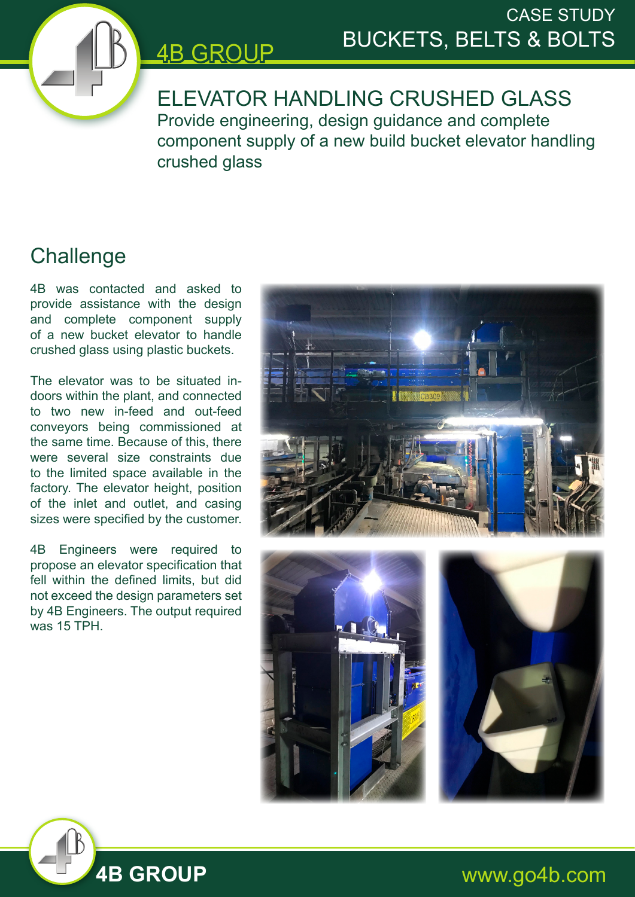

## CASE STUDY BUCKETS, BELTS & BOLTS

ELEVATOR HANDLING CRUSHED GLASS Provide engineering, design guidance and complete component supply of a new build bucket elevator handling crushed glass

## **Challenge**

4B was contacted and asked to provide assistance with the design and complete component supply of a new bucket elevator to handle crushed glass using plastic buckets.

4B GROUP

The elevator was to be situated indoors within the plant, and connected to two new in-feed and out-feed conveyors being commissioned at the same time. Because of this, there were several size constraints due to the limited space available in the factory. The elevator height, position of the inlet and outlet, and casing sizes were specified by the customer.

4B Engineers were required to propose an elevator specification that fell within the defined limits, but did not exceed the design parameters set by 4B Engineers. The output required was 15 TPH.